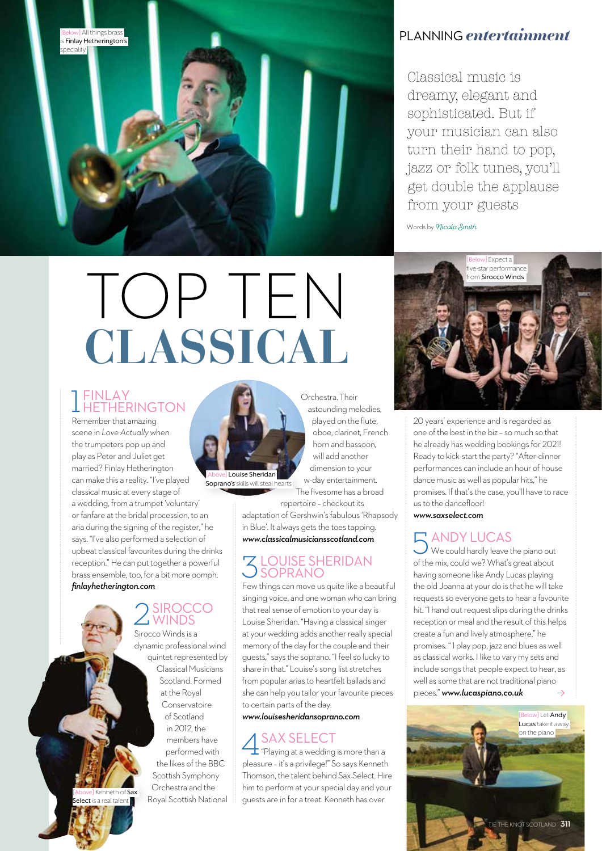

#### PLANNING *entertainment*

Classical music is dreamy, elegant and sophisticated. But if your musician can also turn their hand to pop, jazz or folk tunes, you'll get double the applause from your guests

Words by *Micola Smith* 

# TOP TEN **CLASSICAL**

### 1 HETHERINGTON FINLAY

Remember that amazing scene in *Love Actually* when the trumpeters pop up and play as Peter and Juliet get married? Finlay Hetherington can make this a reality. "I've played classical music at every stage of a wedding, from a trumpet 'voluntary' or fanfare at the bridal procession, to an

aria during the signing of the register," he says. "I've also performed a selection of upbeat classical favourites during the drinks reception." He can put together a powerful brass ensemble, too, for a bit more oomph. *finlayhetherington.com*

Kenneth of elect is a real talent **l** 

### 2<br>WINDS Sirocco Winds is a

dynamic professional wind quintet represented by Classical Musicians Scotland. Formed at the Royal Conservatoire of Scotland in 2012, the members have performed with the likes of the BBC Scottish Symphony Orchestra and the Royal Scottish National



Soprano's skills will steal hearts

The fivesome has a broad repertoire – checkout its adaptation of Gershwin's fabulous 'Rhapsody in Blue'. It always gets the toes tapping.

played on the flute, oboe, clarinet, French horn and bassoon, will add another

## 3LOUISE SHERIDAN SOPRANO

*www.classicalmusiciansscotland.com*

Few things can move us quite like a beautiful singing voice, and one woman who can bring that real sense of emotion to your day is Louise Sheridan. "Having a classical singer at your wedding adds another really special memory of the day for the couple and their guests," says the soprano. "I feel so lucky to share in that." Louise's song list stretches from popular arias to heartfelt ballads and she can help you tailor your favourite pieces to certain parts of the day.

#### *www.louisesheridansoprano.com*

A SAX SELECT<br>
"Playing at a wedding is more than a<br>"Playing at a wedding is more than a pleasure – it's a privilege!" So says Kenneth Thomson, the talent behind Sax Select. Hire him to perform at your special day and your guests are in for a treat. Kenneth has over



20 years' experience and is regarded as one of the best in the biz – so much so that he already has wedding bookings for 2021! Ready to kick-start the party? "After-dinner performances can include an hour of house dance music as well as popular hits," he promises. If that's the case, you'll have to race us to the dancefloor!

*www.saxselect.com*

#### 5ANDY LUCAS

We could hardly leave the piano out of the mix, could we? What's great about having someone like Andy Lucas playing the old Joanna at your do is that he will take requests so everyone gets to hear a favourite hit. "I hand out request slips during the drinks reception or meal and the result of this helps create a fun and lively atmosphere," he promises. " I play pop, jazz and blues as well as classical works. I like to vary my sets and include songs that people expect to hear, as well as some that are not traditional piano pieces." *www.lucaspiano.co.uk*  $\rightarrow$